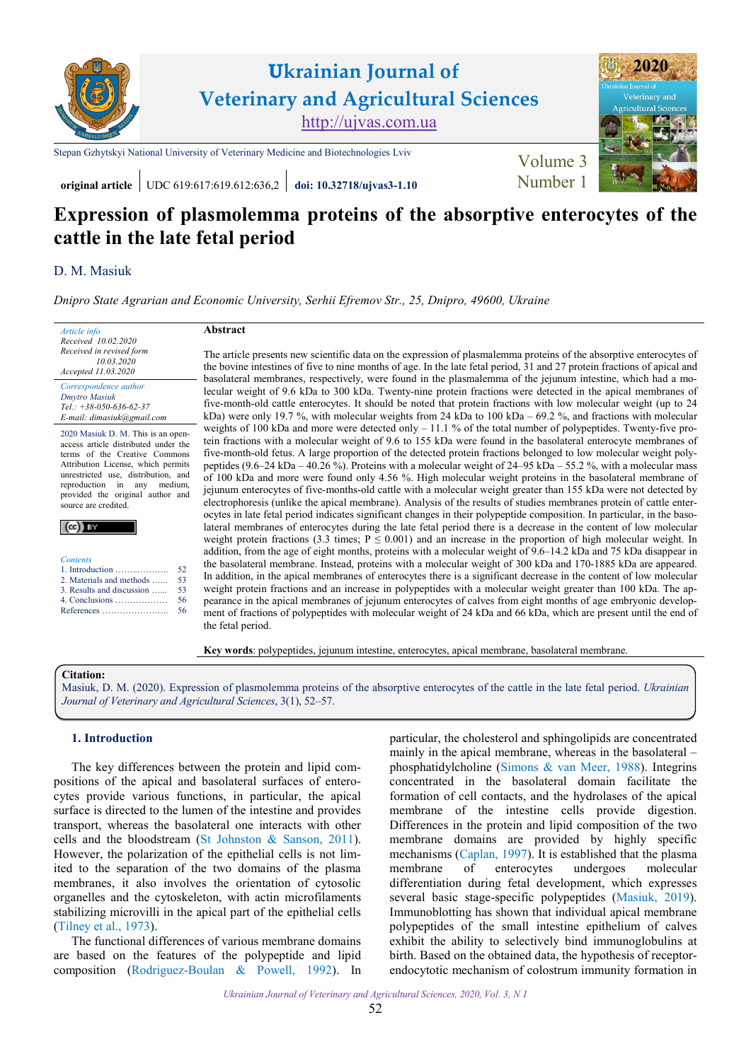

# **Ukrainian Journal of Veterinary and Agricultural Sciences** [http://ujvas.com.ua](http://ujvas.com.ua/)

[Stepan Gzhytskyi National University of Veterinary Medicine and Biotechnologies Lviv](https://lvet.edu.ua) [Volume 3](https://ujvas.com.ua/index.php/journal/issue/view/6)



**original article** UDC 619:617:619.612:636,2 **[doi: 10.32718/ujvas3-1.10](https://doi.org/10.32718/ujvas3-1.10)** Number 1

## **Expression of plasmolemma proteins of the absorptive enterocytes of the cattle in the late fetal period**

## D. [M. Masiuk](http://orcid.org/0000-0002-2800-2580)

*[Dnipro State Agrarian and Economic University, Serhii Efremov Str., 25, Dnipro, 49600, Ukraine](https://www.dsau.dp.ua)*

| Article info<br>Received 10.02.2020                                                                                                                                                                                                                                                                                                                                                                                                             | Abstract                                                                                                                                                                                                                                                                                                                                                                                                                                                                                                                                                                                                                                                                                                                                                                                                                                                                                                                                                                                                                                                                                                                                                                                                                                                                                                                                                                                                                                                                                                                                                                                                                                                                                                                                                                                                                                                                                                                                                                                                                                                                                                                                                                                                                                                                                                                                                                                                                                                                                                                                                                                                                                                              |
|-------------------------------------------------------------------------------------------------------------------------------------------------------------------------------------------------------------------------------------------------------------------------------------------------------------------------------------------------------------------------------------------------------------------------------------------------|-----------------------------------------------------------------------------------------------------------------------------------------------------------------------------------------------------------------------------------------------------------------------------------------------------------------------------------------------------------------------------------------------------------------------------------------------------------------------------------------------------------------------------------------------------------------------------------------------------------------------------------------------------------------------------------------------------------------------------------------------------------------------------------------------------------------------------------------------------------------------------------------------------------------------------------------------------------------------------------------------------------------------------------------------------------------------------------------------------------------------------------------------------------------------------------------------------------------------------------------------------------------------------------------------------------------------------------------------------------------------------------------------------------------------------------------------------------------------------------------------------------------------------------------------------------------------------------------------------------------------------------------------------------------------------------------------------------------------------------------------------------------------------------------------------------------------------------------------------------------------------------------------------------------------------------------------------------------------------------------------------------------------------------------------------------------------------------------------------------------------------------------------------------------------------------------------------------------------------------------------------------------------------------------------------------------------------------------------------------------------------------------------------------------------------------------------------------------------------------------------------------------------------------------------------------------------------------------------------------------------------------------------------------------------|
| Received in revised form<br>10.03.2020<br>Accepted 11.03.2020                                                                                                                                                                                                                                                                                                                                                                                   | The article presents new scientific data on the expression of plasmalemma proteins of the absorptive enterocytes of<br>the bovine intestines of five to nine months of age. In the late fetal period, 31 and 27 protein fractions of apical and<br>basolateral membranes, respectively, were found in the plasmalemma of the jejunum intestine, which had a mo-<br>lecular weight of 9.6 kDa to 300 kDa. Twenty-nine protein fractions were detected in the apical membranes of<br>five-month-old cattle enterocytes. It should be noted that protein fractions with low molecular weight (up to 24<br>kDa) were only 19.7 %, with molecular weights from 24 kDa to 100 kDa – 69.2 %, and fractions with molecular<br>weights of 100 kDa and more were detected only $-11.1\%$ of the total number of polypeptides. Twenty-five pro-<br>tein fractions with a molecular weight of 9.6 to 155 kDa were found in the basolateral enterocyte membranes of<br>five-month-old fetus. A large proportion of the detected protein fractions belonged to low molecular weight poly-<br>peptides (9.6–24 kDa – 40.26 %). Proteins with a molecular weight of $24–95$ kDa – 55.2 %, with a molecular mass<br>of 100 kDa and more were found only 4.56 %. High molecular weight proteins in the basolateral membrane of<br>jejunum enterocytes of five-months-old cattle with a molecular weight greater than 155 kDa were not detected by<br>electrophoresis (unlike the apical membrane). Analysis of the results of studies membranes protein of cattle enter-<br>ocytes in late fetal period indicates significant changes in their polypeptide composition. In particular, in the baso-<br>lateral membranes of enterocytes during the late fetal period there is a decrease in the content of low molecular<br>weight protein fractions (3.3 times; $P \le 0.001$ ) and an increase in the proportion of high molecular weight. In<br>addition, from the age of eight months, proteins with a molecular weight of 9.6–14.2 kDa and 75 kDa disappear in<br>the basolateral membrane. Instead, proteins with a molecular weight of 300 kDa and 170-1885 kDa are appeared.<br>In addition, in the apical membranes of enterocytes there is a significant decrease in the content of low molecular<br>weight protein fractions and an increase in polypeptides with a molecular weight greater than 100 kDa. The ap-<br>pearance in the apical membranes of jejunum enterocytes of calves from eight months of age embryonic develop-<br>ment of fractions of polypeptides with molecular weight of 24 kDa and 66 kDa, which are present until the end of<br>the fetal period. |
| Correspondence author<br>Dmytro Masiuk<br>$Tel.: +38-050-636-62-37$<br>E-mail: dimasiuk@gmail.com                                                                                                                                                                                                                                                                                                                                               |                                                                                                                                                                                                                                                                                                                                                                                                                                                                                                                                                                                                                                                                                                                                                                                                                                                                                                                                                                                                                                                                                                                                                                                                                                                                                                                                                                                                                                                                                                                                                                                                                                                                                                                                                                                                                                                                                                                                                                                                                                                                                                                                                                                                                                                                                                                                                                                                                                                                                                                                                                                                                                                                       |
| 2020 Masiuk D. M. This is an open-<br>access article distributed under the<br>terms of the Creative Commons<br>Attribution License, which permits<br>unrestricted use, distribution, and<br>reproduction in any medium,<br>provided the original author and<br>source are credited.<br>$(cc)$ BY<br><b>Contents</b><br>52<br>1. Introduction<br>53<br>2. Materials and methods<br>3. Results and discussion<br>53<br>56<br>4. Conclusions<br>56 |                                                                                                                                                                                                                                                                                                                                                                                                                                                                                                                                                                                                                                                                                                                                                                                                                                                                                                                                                                                                                                                                                                                                                                                                                                                                                                                                                                                                                                                                                                                                                                                                                                                                                                                                                                                                                                                                                                                                                                                                                                                                                                                                                                                                                                                                                                                                                                                                                                                                                                                                                                                                                                                                       |
|                                                                                                                                                                                                                                                                                                                                                                                                                                                 |                                                                                                                                                                                                                                                                                                                                                                                                                                                                                                                                                                                                                                                                                                                                                                                                                                                                                                                                                                                                                                                                                                                                                                                                                                                                                                                                                                                                                                                                                                                                                                                                                                                                                                                                                                                                                                                                                                                                                                                                                                                                                                                                                                                                                                                                                                                                                                                                                                                                                                                                                                                                                                                                       |

**Key words**: polypeptides, jejunum intestine, enterocytes, apical membrane, basolateral membrane.

## **Citation:**

Masiuk, D. M. [\(2020\). Expression of plasmolemma proteins of the absorptive enterocytes of the cattle in the late fetal period.](https://doi.org/10.32718/ujvas3-1.10) *Ukrainian Journal of Veterinary and Agricultural Sciences*, 3(1), 52–57.

## **1. Introduction**

The key differences between the protein and lipid compositions of the apical and basolateral surfaces of enterocytes provide various functions, in particular, the apical surface is directed to the lumen of the intestine and provides transport, whereas the basolateral one interacts with other cells and the bloodstream ([St Johnston & Sanson,](#page-5-0) 2011). However, the polarization of the epithelial cells is not limited to the separation of the two domains of the plasma membranes, it also involves the orientation of cytosolic organelles and the cytoskeleton, with actin microfilaments stabilizing microvilli in the apical part of the epithelial cells (Tilney [et al., 1973](#page-5-0)).

The functional differences of various membrane domains are based on the features of the polypeptide and lipid composition [\(Rodriguez-Boulan &](#page-4-0) Powell, 1992). In particular, the cholesterol and sphingolipids are concentrated mainly in the apical membrane, whereas in the basolateral – phosphatidylcholine (Simons & [van Meer, 1988\)](#page-4-0). Integrins concentrated in the basolateral domain facilitate the formation of cell contacts, and the hydrolases of the apical membrane of the intestine cells provide digestion. Differences in the protein and lipid composition of the two membrane domains are provided by highly specific mechanisms [\(Caplan, 1997](#page-4-0)). It is established that the plasma membrane of enterocytes undergoes molecular differentiation during fetal development, which expresses several basic stage-specific polypeptides ([Masiuk, 2019\)](#page-4-0). Immunoblotting has shown that individual apical membrane polypeptides of the small intestine epithelium of calves exhibit the ability to selectively bind immunoglobulins at birth. Based on the obtained data, the hypothesis of receptorendocytotic mechanism of colostrum immunity formation in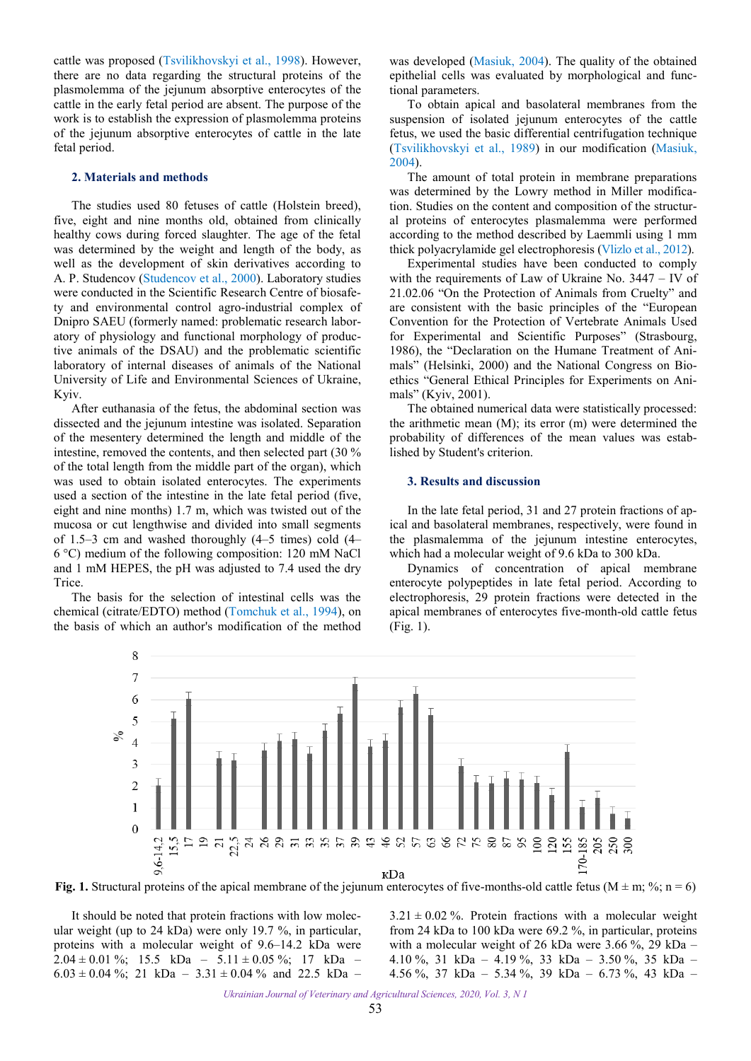<span id="page-1-0"></span>cattle was proposed [\(Tsvilikhovskyi et al., 1998](#page-5-0)). However, there are no data regarding the structural proteins of the plasmolemma of the jejunum absorptive enterocytes of the cattle in the early fetal period are absent. The purpose of the work is to establish the expression of plasmolemma proteins of the jejunum absorptive enterocytes of cattle in the late fetal period.

### **2. Materials and methods**

The studies used 80 fetuses of cattle (Holstein breed), five, eight and nine months old, obtained from clinically healthy cows during forced slaughter. The age of the fetal was determined by the weight and length of the body, as well as the development of skin derivatives according to A. P. Studencov ([Studencov](#page-5-0) et al., 2000). Laboratory studies were conducted in the Scientific Research Centre of biosafety and environmental control agro-industrial complex of Dnipro SAEU (formerly named: problematic research laboratory of physiology and functional morphology of productive animals of the DSAU) and the problematic scientific laboratory of internal diseases of animals of the National University of Life and Environmental Sciences of Ukraine, Kyiv.

After euthanasia of the fetus, the abdominal section was dissected and the jejunum intestine was isolated. Separation of the mesentery determined the length and middle of the intestine, removed the contents, and then selected part (30 % of the total length from the middle part of the organ), which was used to obtain isolated enterocytes. The experiments used a section of the intestine in the late fetal period (five, eight and nine months) 1.7 m, which was twisted out of the mucosa or cut lengthwise and divided into small segments of 1.5–3 cm and washed thoroughly (4–5 times) cold (4– 6 °C) medium of the following composition: 120 mM NaCl and 1 mM HEPES, the pH was adjusted to 7.4 used the dry Trice.

The basis for the selection of intestinal cells was the chemical (citrate/EDTO) method [\(Tomchuk et al., 1994\)](#page-5-0), on the basis of which an author's modification of the method was developed ([Masiuk, 2004\)](#page-4-0). The quality of the obtained epithelial cells was evaluated by morphological and functional parameters.

To obtain apical and basolateral membranes from the suspension of isolated jejunum enterocytes of the cattle fetus, we used the basic differential centrifugation technique [\(Tsvilikhovskyi et al., 1989](#page-5-0)) in our modification [\(Masiuk,](#page-4-0)  [2004\)](#page-4-0).

The amount of total protein in membrane preparations was determined by the Lowry method in Miller modification. Studies on the content and composition of the structural proteins of enterocytes plasmalemma were performed according to the method described by Laemmli using 1 mm thick polyacrylamide gel electrophoresis (Vlizlo [et al., 2012](#page-5-0)).

Experimental studies have been conducted to comply with the requirements of Law of Ukraine No. 3447 – IV of 21.02.06 "On the Protection of Animals from Cruelty" and are consistent with the basic principles of the "European Convention for the Protection of Vertebrate Animals Used for Experimental and Scientific Purposes" (Strasbourg, 1986), the "Declaration on the Humane Treatment of Animals" (Helsinki, 2000) and the National Congress on Bioethics "General Ethical Principles for Experiments on Animals" (Kyiv, 2001).

The obtained numerical data were statistically processed: the arithmetic mean (M); its error (m) were determined the probability of differences of the mean values was established by Student's criterion.

### **3. Results and discussion**

In the late fetal period, 31 and 27 protein fractions of apical and basolateral membranes, respectively, were found in the plasmalemma of the jejunum intestine enterocytes, which had a molecular weight of 9.6 kDa to 300 kDa.

Dynamics of concentration of apical membrane enterocyte polypeptides in late fetal period. According to electrophoresis, 29 protein fractions were detected in the apical membranes of enterocytes five-month-old cattle fetus (Fig. 1).



**Fig. 1.** Structural proteins of the apical membrane of the jejunum enterocytes of five-months-old cattle fetus (M  $\pm$  m; %; n = 6)

It should be noted that protein fractions with low molecular weight (up to 24 kDa) were only 19.7 %, in particular, proteins with a molecular weight of 9.6–14.2 kDa were  $2.04 \pm 0.01$  %; 15.5 kDa – 5.11  $\pm$  0.05 %; 17 kDa –  $6.03 \pm 0.04$  %; 21 kDa – 3.31  $\pm$  0.04 % and 22.5 kDa –

 $3.21 \pm 0.02$  %. Protein fractions with a molecular weight from 24 kDa to 100 kDa were 69.2 %, in particular, proteins with a molecular weight of 26 kDa were 3.66 %, 29 kDa – 4.10 %, 31 kDa – 4.19 %, 33 kDa – 3.50 %, 35 kDa – 4.56 %, 37 kDa – 5.34 %, 39 kDa – 6.73 %, 43 kDa –

*Ukrainian Journal of Veterinary and Agricultural Sciences, 2020, Vol. 3, N 1*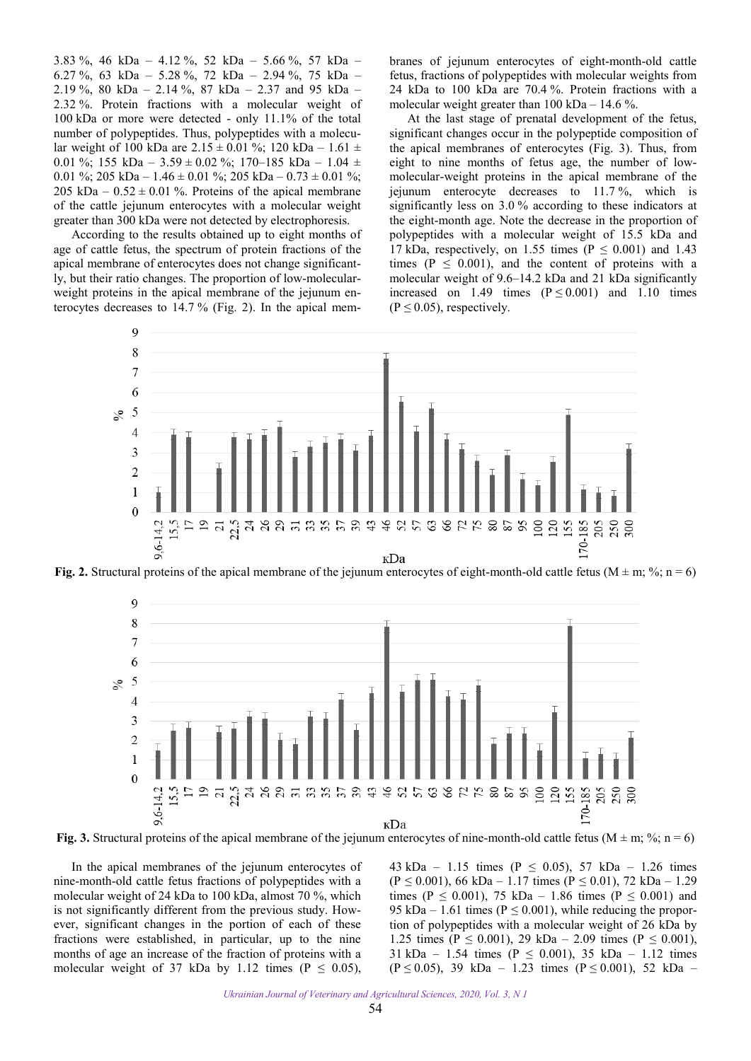3.83 %, 46 kDa – 4.12 %, 52 kDa – 5.66 %, 57 kDa – 6.27 %, 63 kDa – 5.28 %, 72 kDa – 2.94 %, 75 kDa – 2.19 %, 80 kDa – 2.14 %, 87 kDa – 2.37 and 95 kDa – 2.32 %. Protein fractions with a molecular weight of 100 kDa or more were detected - only 11.1% of the total number of polypeptides. Thus, polypeptides with a molecular weight of 100 kDa are  $2.15 \pm 0.01$  %; 120 kDa – 1.61  $\pm$ 0.01 %; 155 kDa – 3.59  $\pm$  0.02 %; 170–185 kDa – 1.04  $\pm$ 0.01 %; 205 kDa – 1.46  $\pm$  0.01 %; 205 kDa – 0.73  $\pm$  0.01 %; 205 kDa –  $0.52 \pm 0.01$ %. Proteins of the apical membrane of the cattle jejunum enterocytes with a molecular weight greater than 300 kDa were not detected by electrophoresis.

According to the results obtained up to eight months of age of cattle fetus, the spectrum of protein fractions of the apical membrane of enterocytes does not change significantly, but their ratio changes. The proportion of low-molecularweight proteins in the apical membrane of the jejunum enterocytes decreases to 14.7 % (Fig. 2). In the apical membranes of jejunum enterocytes of eight-month-old cattle fetus, fractions of polypeptides with molecular weights from 24 kDa to 100 kDa are 70.4 %. Protein fractions with a molecular weight greater than  $100 \text{ kDa} - 14.6 \%$ .

At the last stage of prenatal development of the fetus, significant changes occur in the polypeptide composition of the apical membranes of enterocytes (Fig. 3). Thus, from eight to nine months of fetus age, the number of lowmolecular-weight proteins in the apical membrane of the jejunum enterocyte decreases to 11.7 %, which is significantly less on 3.0 % according to these indicators at the eight-month age. Note the decrease in the proportion of polypeptides with a molecular weight of 15.5 kDa and 17 kDa, respectively, on 1.55 times ( $P \le 0.001$ ) and 1.43 times ( $P \leq 0.001$ ), and the content of proteins with a molecular weight of 9.6–14.2 kDa and 21 kDa significantly increased on 1.49 times  $(P \le 0.001)$  and 1.10 times  $(P \le 0.05)$ , respectively.



**Fig. 2.** Structural proteins of the apical membrane of the jejunum enterocytes of eight-month-old cattle fetus (M  $\pm$  m; %; n = 6)



**Fig. 3.** Structural proteins of the apical membrane of the jejunum enterocytes of nine-month-old cattle fetus (M  $\pm$  m; %; n = 6)

In the apical membranes of the jejunum enterocytes of nine-month-old cattle fetus fractions of polypeptides with a molecular weight of 24 kDa to 100 kDa, almost 70 %, which is not significantly different from the previous study. However, significant changes in the portion of each of these fractions were established, in particular, up to the nine months of age an increase of the fraction of proteins with a molecular weight of 37 kDa by 1.12 times ( $P \le 0.05$ ),

43 kDa – 1.15 times ( $P \le 0.05$ ), 57 kDa – 1.26 times  $(P \le 0.001)$ , 66 kDa – 1.17 times  $(P \le 0.01)$ , 72 kDa – 1.29 times (P  $\leq$  0.001), 75 kDa – 1.86 times (P  $\leq$  0.001) and 95 kDa – 1.61 times ( $P \le 0.001$ ), while reducing the proportion of polypeptides with a molecular weight of 26 kDa by 1.25 times (P  $\leq$  0.001), 29 kDa – 2.09 times (P  $\leq$  0.001), 31 kDa – 1.54 times ( $P \le 0.001$ ), 35 kDa – 1.12 times (P  $\leq$  0.05), 39 kDa – 1.23 times (P  $\leq$  0.001), 52 kDa –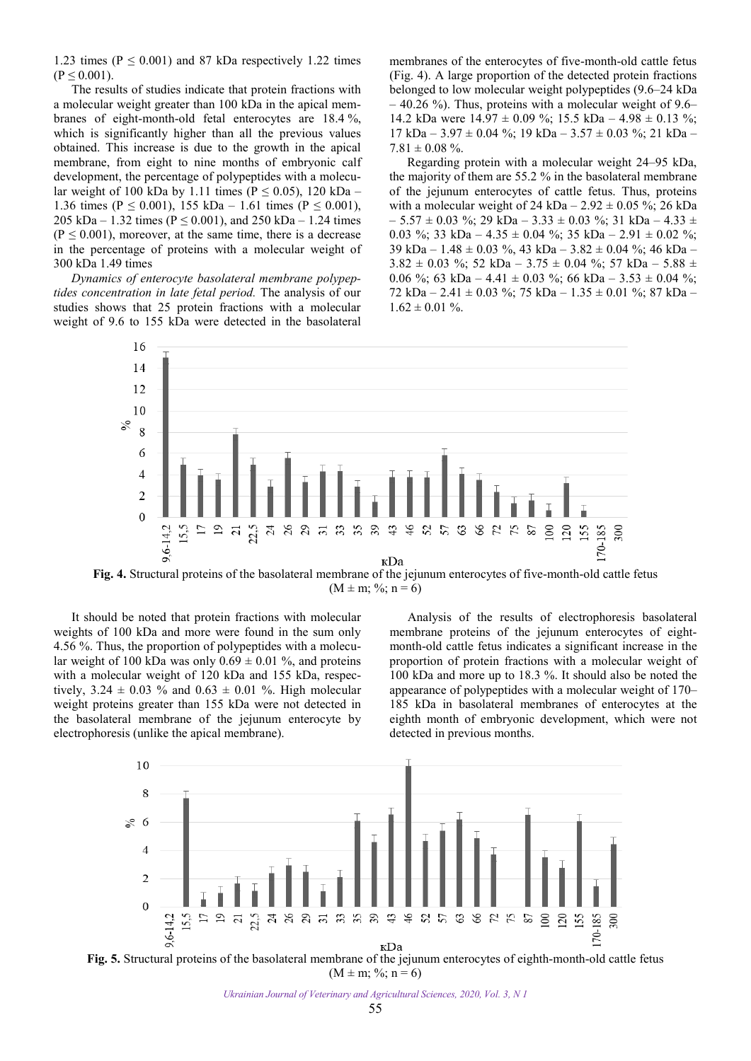1.23 times ( $P \le 0.001$ ) and 87 kDa respectively 1.22 times  $(P \le 0.001)$ .

The results of studies indicate that protein fractions with a molecular weight greater than 100 kDa in the apical membranes of eight-month-old fetal enterocytes are 18.4 %, which is significantly higher than all the previous values obtained. This increase is due to the growth in the apical membrane, from eight to nine months of embryonic calf development, the percentage of polypeptides with a molecular weight of 100 kDa by 1.11 times ( $P \le 0.05$ ), 120 kDa – 1.36 times ( $P \le 0.001$ ), 155 kDa – 1.61 times ( $P \le 0.001$ ), 205 kDa – 1.32 times ( $P \le 0.001$ ), and 250 kDa – 1.24 times  $(P \le 0.001)$ , moreover, at the same time, there is a decrease in the percentage of proteins with a molecular weight of 300 kDa 1.49 times

*Dynamics of enterocyte basolateral membrane polypeptides concentration in late fetal period.* The analysis of our studies shows that 25 protein fractions with a molecular weight of 9.6 to 155 kDa were detected in the basolateral

membranes of the enterocytes of five-month-old cattle fetus (Fig. 4). A large proportion of the detected protein fractions belonged to low molecular weight polypeptides (9.6–24 kDa  $-40.26$  %). Thus, proteins with a molecular weight of 9.6– 14.2 kDa were  $14.97 \pm 0.09$  %; 15.5 kDa –  $4.98 \pm 0.13$  %;  $17$  kDa –  $3.97 \pm 0.04$  %;  $19$  kDa –  $3.57 \pm 0.03$  %;  $21$  kDa –  $7.81 \pm 0.08$  %.

Regarding protein with a molecular weight 24–95 kDa, the majority of them are 55.2 % in the basolateral membrane of the jejunum enterocytes of cattle fetus. Thus, proteins with a molecular weight of  $24$  kDa –  $2.92 \pm 0.05$  %; 26 kDa  $-5.57 \pm 0.03$  %; 29 kDa  $-3.33 \pm 0.03$  %; 31 kDa  $-4.33 \pm 0.03$ 0.03 %; 33 kDa –  $4.35 \pm 0.04$  %; 35 kDa –  $2.91 \pm 0.02$  %; 39 kDa – 1.48 ± 0.03 %, 43 kDa – 3.82 ± 0.04 %; 46 kDa –  $3.82 \pm 0.03$  %; 52 kDa –  $3.75 \pm 0.04$  %; 57 kDa –  $5.88 \pm 0.03$ 0.06 %; 63 kDa – 4.41  $\pm$  0.03 %; 66 kDa – 3.53  $\pm$  0.04 %; 72 kDa – 2.41  $\pm$  0.03 %; 75 kDa – 1.35  $\pm$  0.01 %; 87 kDa –  $1.62 \pm 0.01$  %.



 $(M \pm m; \frac{6}{3}; n = 6)$ 

It should be noted that protein fractions with molecular weights of 100 kDa and more were found in the sum only 4.56 %. Thus, the proportion of polypeptides with a molecular weight of 100 kDa was only  $0.69 \pm 0.01$  %, and proteins with a molecular weight of 120 kDa and 155 kDa, respectively,  $3.24 \pm 0.03$  % and  $0.63 \pm 0.01$  %. High molecular weight proteins greater than 155 kDa were not detected in the basolateral membrane of the jejunum enterocyte by electrophoresis (unlike the apical membrane).

Analysis of the results of electrophoresis basolateral membrane proteins of the jejunum enterocytes of eightmonth-old cattle fetus indicates a significant increase in the proportion of protein fractions with a molecular weight of 100 kDa and more up to 18.3 %. It should also be noted the appearance of polypeptides with a molecular weight of 170– 185 kDa in basolateral membranes of enterocytes at the eighth month of embryonic development, which were not detected in previous months.



**Fig. 5.** Structural proteins of the basolateral membrane of the jejunum enterocytes of eighth-month-old cattle fetus  $(M \pm m; \%; n = 6)$ 

*Ukrainian Journal of Veterinary and Agricultural Sciences, 2020, Vol. 3, N 1*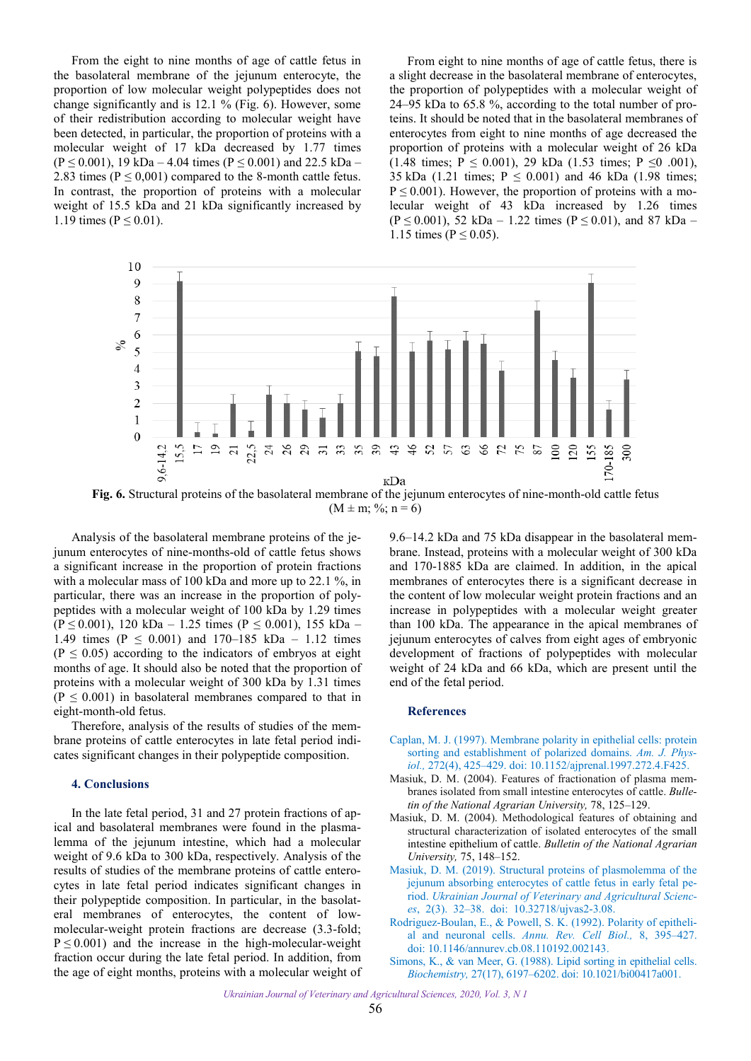<span id="page-4-0"></span>From the eight to nine months of age of cattle fetus in the basolateral membrane of the jejunum enterocyte, the proportion of low molecular weight polypeptides does not change significantly and is 12.1 % (Fig. 6). However, some of their redistribution according to molecular weight have been detected, in particular, the proportion of proteins with a molecular weight of 17 kDa decreased by 1.77 times  $(P \le 0.001)$ , 19 kDa – 4.04 times  $(P \le 0.001)$  and 22.5 kDa – 2.83 times  $(P \le 0.001)$  compared to the 8-month cattle fetus. In contrast, the proportion of proteins with a molecular weight of 15.5 kDa and 21 kDa significantly increased by 1.19 times ( $P \le 0.01$ ).

From eight to nine months of age of cattle fetus, there is a slight decrease in the basolateral membrane of enterocytes, the proportion of polypeptides with a molecular weight of 24–95 kDa to 65.8 %, according to the total number of proteins. It should be noted that in the basolateral membranes of enterocytes from eight to nine months of age decreased the proportion of proteins with a molecular weight of 26 kDa (1.48 times;  $P \le 0.001$ ), 29 kDa (1.53 times;  $P \le 0.001$ ), 35 kDa (1.21 times;  $P \le 0.001$ ) and 46 kDa (1.98 times;  $P \le 0.001$ ). However, the proportion of proteins with a molecular weight of 43 kDa increased by 1.26 times  $(P \le 0.001)$ , 52 kDa – 1.22 times  $(P \le 0.01)$ , and 87 kDa – 1.15 times ( $P \le 0.05$ ).



**Fig. 6.** Structural proteins of the basolateral membrane of the jejunum enterocytes of nine-month-old cattle fetus  $(M \pm m; \frac{6}{3}; n = 6)$ 

Analysis of the basolateral membrane proteins of the jejunum enterocytes of nine-months-old of cattle fetus shows a significant increase in the proportion of protein fractions with a molecular mass of 100 kDa and more up to 22.1 %, in particular, there was an increase in the proportion of polypeptides with a molecular weight of 100 kDa by 1.29 times (P  $\leq$  0.001), 120 kDa – 1.25 times (P  $\leq$  0.001), 155 kDa – 1.49 times ( $P \le 0.001$ ) and 170–185 kDa – 1.12 times  $(P \le 0.05)$  according to the indicators of embryos at eight months of age. It should also be noted that the proportion of proteins with a molecular weight of 300 kDa by 1.31 times  $(P \le 0.001)$  in basolateral membranes compared to that in eight-month-old fetus.

Therefore, analysis of the results of studies of the membrane proteins of cattle enterocytes in late fetal period indicates significant changes in their polypeptide composition.

#### **4. Conclusions**

In the late fetal period, 31 and 27 protein fractions of apical and basolateral membranes were found in the plasmalemma of the jejunum intestine, which had a molecular weight of 9.6 kDa to 300 kDa, respectively. Analysis of the results of studies of the membrane proteins of cattle enterocytes in late fetal period indicates significant changes in their polypeptide composition. In particular, in the basolateral membranes of enterocytes, the content of lowmolecular-weight protein fractions are decrease (3.3-fold;  $P \le 0.001$ ) and the increase in the high-molecular-weight fraction occur during the late fetal period. In addition, from the age of eight months, proteins with a molecular weight of 9.6–14.2 kDa and 75 kDa disappear in the basolateral membrane. Instead, proteins with a molecular weight of 300 kDa and 170-1885 kDa are claimed. In addition, in the apical membranes of enterocytes there is a significant decrease in the content of low molecular weight protein fractions and an increase in polypeptides with a molecular weight greater than 100 kDa. The appearance in the apical membranes of jejunum enterocytes of calves from eight ages of embryonic development of fractions of polypeptides with molecular weight of 24 kDa and 66 kDa, which are present until the end of the fetal period.

#### **References**

- Caplan, M. J. (1997). Membrane polarity in epithelial cells: protein sorting and establishment of polarized domains. *Am. J. Physiol.,* 272(4), 425–429. doi: 10.1152/ajprenal.1997.272.4.F425.
- Masiuk, D. M. (2004). Features of fractionation of plasma membranes isolated from small intestine enterocytes of cattle. *Bulletin of the National Agrarian University,* 78, 125–129.
- Masiuk, D. M. (2004). Methodological features of obtaining and structural characterization of isolated enterocytes of the small intestine epithelium of cattle. *Bulletin of the National Agrarian University,* 75, 148–152.
- Masiuk, D. M. (2019). Structural proteins of plasmolemma of the jejunum absorbing enterocytes of cattle fetus in early fetal period. *Ukrainian Journal of Veterinary and Agricultural Sciences*, 2(3). 32–38. doi: 10.32718/ujvas2-3.08.
- Rodriguez-Boulan, E., & Powell, S. K. (1992). Polarity of epithelial and neuronal cells. *Annu. Rev. Cell Biol.,* 8, 395–427. doi: 10.1146/annurev.cb.08.110192.002143.
- Simons, K., & van Meer, G. (1988). Lipid sorting in epithelial cells. *Biochemistry,* 27(17), 6197–6202. doi: 10.1021/bi00417a001.